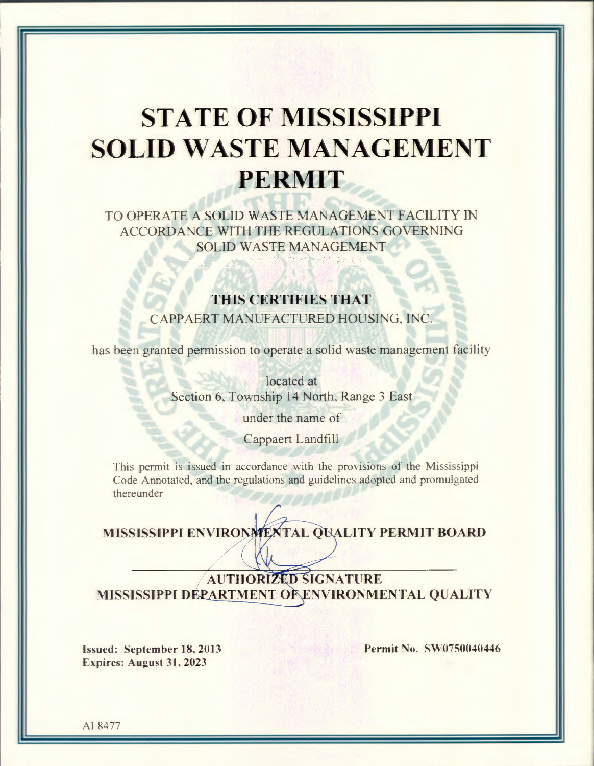# **STATE OF MISSISSIPPI SOLID WASTE MANAGEMENT PERMIT**

TO OPERATE A SOLID WASTE MANAGEMENT FACILITY IN ACCORDANCE WITH THE REGULATIONS GOVERNING **SOLID WASTE MANAGEMENT** 

### THIS CERTIFIES THAT

CAPPAERT MANUFACTURED HOUSING, INC.

has been granted permission to operate a solid waste management facility

located at Section 6, Township 14 North, Range 3 East

under the name of

Cappaert Landfill

This permit is issued in accordance with the provisions of the Mississippi Code Annotated, and the regulations and guidelines adopted and promulgated thereunder

MISSISSIPPI ENVIRONMENTAL QUALITY PERMIT BOARD

## **AUTHORIZED SIGNATURE** MISSISSIPPI DEPARTMENT OF ENVIRONMENTAL QUALITY

Issued: September 18, 2013 Expires: August 31, 2023

Permit No. SW0750040446

AI 8477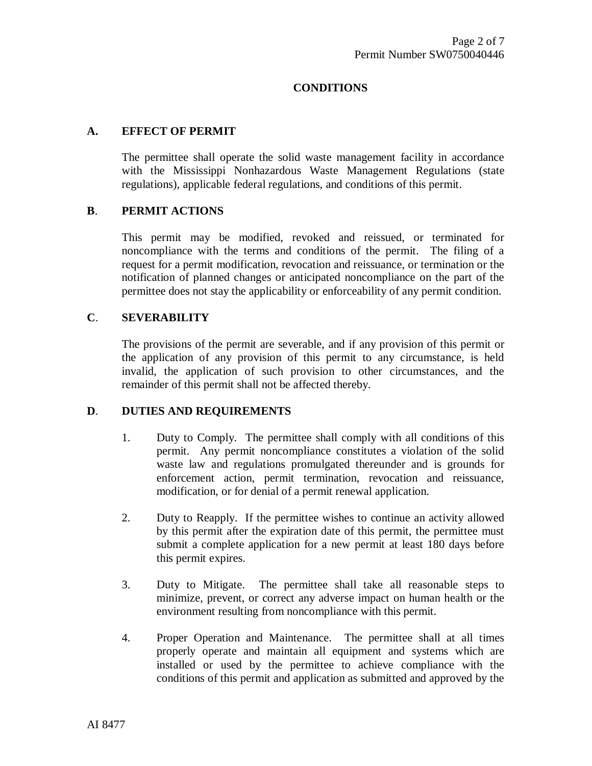#### **CONDITIONS**

#### **A. EFFECT OF PERMIT**

The permittee shall operate the solid waste management facility in accordance with the Mississippi Nonhazardous Waste Management Regulations (state regulations), applicable federal regulations, and conditions of this permit.

#### **B**. **PERMIT ACTIONS**

This permit may be modified, revoked and reissued, or terminated for noncompliance with the terms and conditions of the permit. The filing of a request for a permit modification, revocation and reissuance, or termination or the notification of planned changes or anticipated noncompliance on the part of the permittee does not stay the applicability or enforceability of any permit condition.

#### **C**. **SEVERABILITY**

The provisions of the permit are severable, and if any provision of this permit or the application of any provision of this permit to any circumstance, is held invalid, the application of such provision to other circumstances, and the remainder of this permit shall not be affected thereby.

#### **D**. **DUTIES AND REQUIREMENTS**

- 1. Duty to Comply. The permittee shall comply with all conditions of this permit. Any permit noncompliance constitutes a violation of the solid waste law and regulations promulgated thereunder and is grounds for enforcement action, permit termination, revocation and reissuance, modification, or for denial of a permit renewal application.
- 2. Duty to Reapply. If the permittee wishes to continue an activity allowed by this permit after the expiration date of this permit, the permittee must submit a complete application for a new permit at least 180 days before this permit expires.
- 3. Duty to Mitigate. The permittee shall take all reasonable steps to minimize, prevent, or correct any adverse impact on human health or the environment resulting from noncompliance with this permit.
- 4. Proper Operation and Maintenance. The permittee shall at all times properly operate and maintain all equipment and systems which are installed or used by the permittee to achieve compliance with the conditions of this permit and application as submitted and approved by the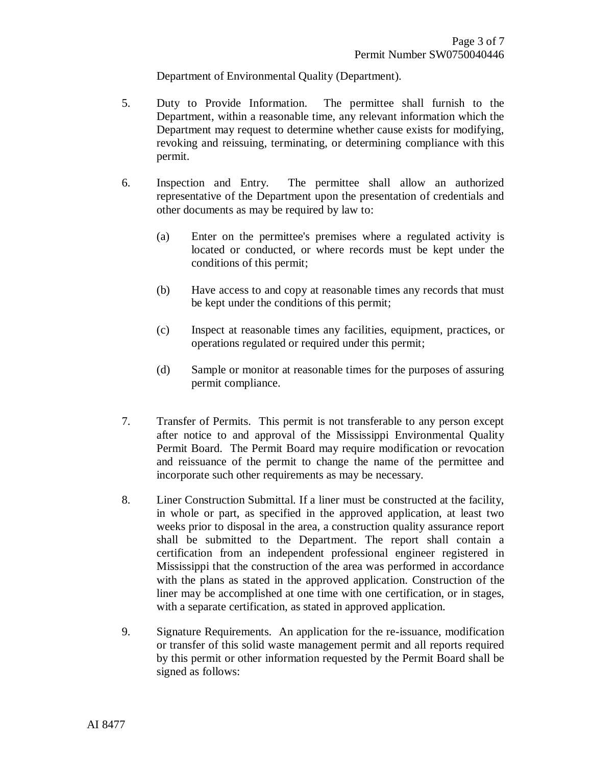Department of Environmental Quality (Department).

- 5. Duty to Provide Information. The permittee shall furnish to the Department, within a reasonable time, any relevant information which the Department may request to determine whether cause exists for modifying, revoking and reissuing, terminating, or determining compliance with this permit.
- 6. Inspection and Entry. The permittee shall allow an authorized representative of the Department upon the presentation of credentials and other documents as may be required by law to:
	- (a) Enter on the permittee's premises where a regulated activity is located or conducted, or where records must be kept under the conditions of this permit;
	- (b) Have access to and copy at reasonable times any records that must be kept under the conditions of this permit;
	- (c) Inspect at reasonable times any facilities, equipment, practices, or operations regulated or required under this permit;
	- (d) Sample or monitor at reasonable times for the purposes of assuring permit compliance.
- 7. Transfer of Permits. This permit is not transferable to any person except after notice to and approval of the Mississippi Environmental Quality Permit Board. The Permit Board may require modification or revocation and reissuance of the permit to change the name of the permittee and incorporate such other requirements as may be necessary.
- 8. Liner Construction Submittal. If a liner must be constructed at the facility, in whole or part, as specified in the approved application, at least two weeks prior to disposal in the area, a construction quality assurance report shall be submitted to the Department. The report shall contain a certification from an independent professional engineer registered in Mississippi that the construction of the area was performed in accordance with the plans as stated in the approved application. Construction of the liner may be accomplished at one time with one certification, or in stages, with a separate certification, as stated in approved application.
- 9. Signature Requirements. An application for the re-issuance, modification or transfer of this solid waste management permit and all reports required by this permit or other information requested by the Permit Board shall be signed as follows: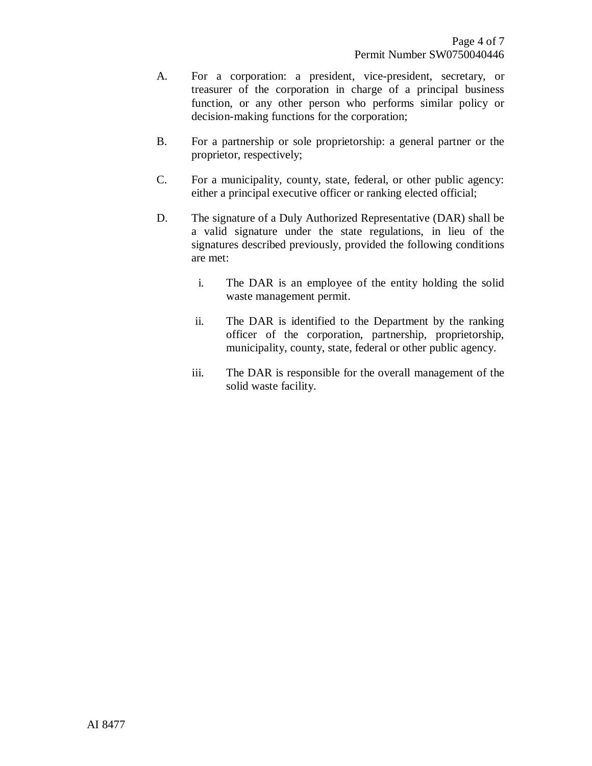- A. For a corporation: a president, vice-president, secretary, or treasurer of the corporation in charge of a principal business function, or any other person who performs similar policy or decision-making functions for the corporation;
- B. For a partnership or sole proprietorship: a general partner or the proprietor, respectively;
- C. For a municipality, county, state, federal, or other public agency: either a principal executive officer or ranking elected official;
- D. The signature of a Duly Authorized Representative (DAR) shall be a valid signature under the state regulations, in lieu of the signatures described previously, provided the following conditions are met:
	- i. The DAR is an employee of the entity holding the solid waste management permit.
	- ii. The DAR is identified to the Department by the ranking officer of the corporation, partnership, proprietorship, municipality, county, state, federal or other public agency.
	- iii. The DAR is responsible for the overall management of the solid waste facility.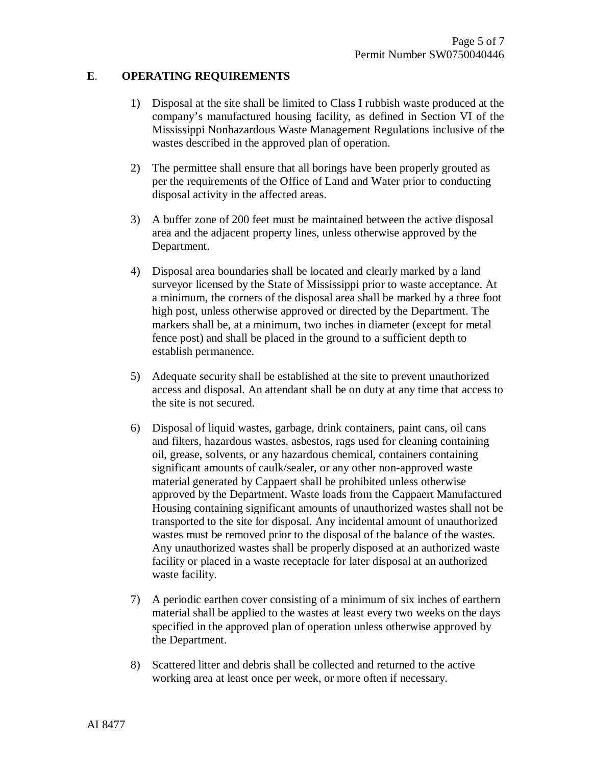#### **E**. **OPERATING REQUIREMENTS**

- 1) Disposal at the site shall be limited to Class I rubbish waste produced at the company's manufactured housing facility, as defined in Section VI of the Mississippi Nonhazardous Waste Management Regulations inclusive of the wastes described in the approved plan of operation.
- 2) The permittee shall ensure that all borings have been properly grouted as per the requirements of the Office of Land and Water prior to conducting disposal activity in the affected areas.
- 3) A buffer zone of 200 feet must be maintained between the active disposal area and the adjacent property lines, unless otherwise approved by the Department.
- 4) Disposal area boundaries shall be located and clearly marked by a land surveyor licensed by the State of Mississippi prior to waste acceptance. At a minimum, the corners of the disposal area shall be marked by a three foot high post, unless otherwise approved or directed by the Department. The markers shall be, at a minimum, two inches in diameter (except for metal fence post) and shall be placed in the ground to a sufficient depth to establish permanence.
- 5) Adequate security shall be established at the site to prevent unauthorized access and disposal. An attendant shall be on duty at any time that access to the site is not secured.
- 6) Disposal of liquid wastes, garbage, drink containers, paint cans, oil cans and filters, hazardous wastes, asbestos, rags used for cleaning containing oil, grease, solvents, or any hazardous chemical, containers containing significant amounts of caulk/sealer, or any other non-approved waste material generated by Cappaert shall be prohibited unless otherwise approved by the Department. Waste loads from the Cappaert Manufactured Housing containing significant amounts of unauthorized wastes shall not be transported to the site for disposal. Any incidental amount of unauthorized wastes must be removed prior to the disposal of the balance of the wastes. Any unauthorized wastes shall be properly disposed at an authorized waste facility or placed in a waste receptacle for later disposal at an authorized waste facility.
- 7) A periodic earthen cover consisting of a minimum of six inches of earthern material shall be applied to the wastes at least every two weeks on the days specified in the approved plan of operation unless otherwise approved by the Department.
- 8) Scattered litter and debris shall be collected and returned to the active working area at least once per week, or more often if necessary.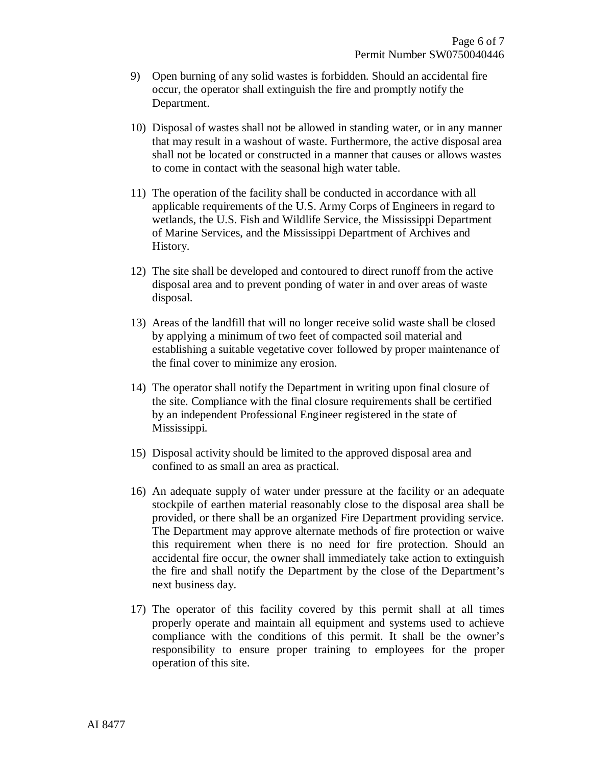- 9) Open burning of any solid wastes is forbidden. Should an accidental fire occur, the operator shall extinguish the fire and promptly notify the Department.
- 10) Disposal of wastes shall not be allowed in standing water, or in any manner that may result in a washout of waste. Furthermore, the active disposal area shall not be located or constructed in a manner that causes or allows wastes to come in contact with the seasonal high water table.
- 11) The operation of the facility shall be conducted in accordance with all applicable requirements of the U.S. Army Corps of Engineers in regard to wetlands, the U.S. Fish and Wildlife Service, the Mississippi Department of Marine Services, and the Mississippi Department of Archives and History.
- 12) The site shall be developed and contoured to direct runoff from the active disposal area and to prevent ponding of water in and over areas of waste disposal.
- 13) Areas of the landfill that will no longer receive solid waste shall be closed by applying a minimum of two feet of compacted soil material and establishing a suitable vegetative cover followed by proper maintenance of the final cover to minimize any erosion.
- 14) The operator shall notify the Department in writing upon final closure of the site. Compliance with the final closure requirements shall be certified by an independent Professional Engineer registered in the state of Mississippi.
- 15) Disposal activity should be limited to the approved disposal area and confined to as small an area as practical.
- 16) An adequate supply of water under pressure at the facility or an adequate stockpile of earthen material reasonably close to the disposal area shall be provided, or there shall be an organized Fire Department providing service. The Department may approve alternate methods of fire protection or waive this requirement when there is no need for fire protection. Should an accidental fire occur, the owner shall immediately take action to extinguish the fire and shall notify the Department by the close of the Department's next business day.
- 17) The operator of this facility covered by this permit shall at all times properly operate and maintain all equipment and systems used to achieve compliance with the conditions of this permit. It shall be the owner's responsibility to ensure proper training to employees for the proper operation of this site.